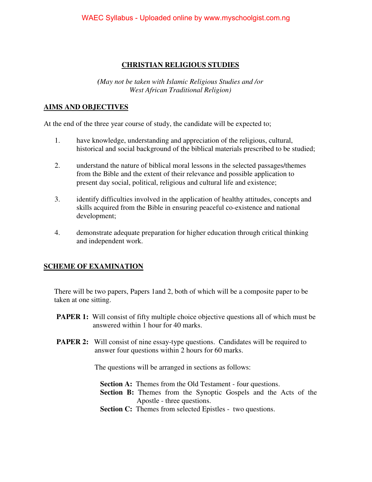#### **CHRISTIAN RELIGIOUS STUDIES**

*(May not be taken with Islamic Religious Studies and /or West African Traditional Religion)* 

#### **AIMS AND OBJECTIVES**

At the end of the three year course of study, the candidate will be expected to;

- 1. have knowledge, understanding and appreciation of the religious, cultural, historical and social background of the biblical materials prescribed to be studied;
- 2. understand the nature of biblical moral lessons in the selected passages/themes from the Bible and the extent of their relevance and possible application to present day social, political, religious and cultural life and existence;
- 3. identify difficulties involved in the application of healthy attitudes, concepts and skills acquired from the Bible in ensuring peaceful co-existence and national development;
- 4. demonstrate adequate preparation for higher education through critical thinking and independent work.

### **SCHEME OF EXAMINATION**

There will be two papers, Papers 1and 2, both of which will be a composite paper to be taken at one sitting.

- **PAPER 1:** Will consist of fifty multiple choice objective questions all of which must be answered within 1 hour for 40 marks.
- **PAPER 2:** Will consist of nine essay-type questions. Candidates will be required to answer four questions within 2 hours for 60 marks.

The questions will be arranged in sections as follows:

**Section A:** Themes from the Old Testament - four questions.

- **Section B:** Themes from the Synoptic Gospels and the Acts of the Apostle - three questions.
- **Section C:** Themes from selected Epistles two questions.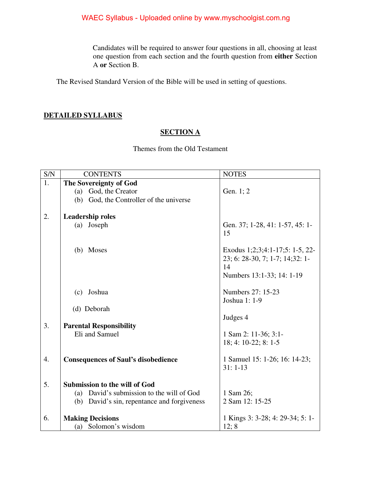Candidates will be required to answer four questions in all, choosing at least one question from each section and the fourth question from **either** Section A **or** Section B.

The Revised Standard Version of the Bible will be used in setting of questions.

#### **DETAILED SYLLABUS**

#### **SECTION A**

Themes from the Old Testament

| S/N | <b>CONTENTS</b>                                 | <b>NOTES</b>                                                                                          |
|-----|-------------------------------------------------|-------------------------------------------------------------------------------------------------------|
| 1.  | The Sovereignty of God                          |                                                                                                       |
|     | God, the Creator<br>(a)                         | Gen. 1; 2                                                                                             |
|     | (b) God, the Controller of the universe         |                                                                                                       |
|     |                                                 |                                                                                                       |
| 2.  | <b>Leadership roles</b>                         |                                                                                                       |
|     | (a) Joseph                                      | Gen. 37; 1-28, 41: 1-57, 45: 1-<br>15                                                                 |
|     | (b) Moses                                       | Exodus 1;2;3;4:1-17;5: 1-5, 22-<br>23; 6: 28-30, 7; 1-7; 14;32: 1-<br>14<br>Numbers 13:1-33; 14: 1-19 |
|     | Joshua<br>(c)                                   | Numbers 27: 15-23<br>Joshua 1: 1-9                                                                    |
|     | (d) Deborah                                     | Judges 4                                                                                              |
| 3.  | <b>Parental Responsibility</b>                  |                                                                                                       |
|     | Eli and Samuel                                  | 1 Sam 2: 11-36; 3:1-<br>18; 4: 10-22; 8: 1-5                                                          |
| 4.  | <b>Consequences of Saul's disobedience</b>      | 1 Samuel 15: 1-26; 16: 14-23;<br>$31:1-13$                                                            |
| 5.  | <b>Submission to the will of God</b>            |                                                                                                       |
|     | David's submission to the will of God<br>(a)    | 1 Sam 26;                                                                                             |
|     | David's sin, repentance and forgiveness<br>(b)  | 2 Sam 12: 15-25                                                                                       |
| 6.  | <b>Making Decisions</b><br>(a) Solomon's wisdom | 1 Kings 3: 3-28; 4: 29-34; 5: 1-<br>12; 8                                                             |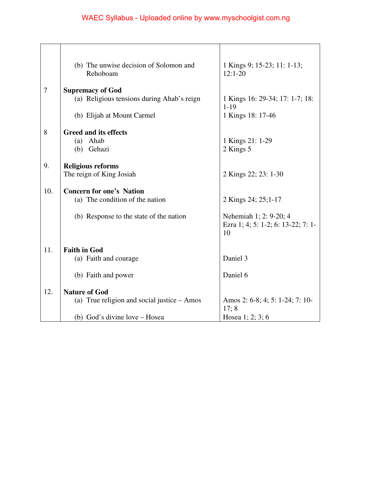|     | (b) The unwise decision of Solomon and<br>Rehoboam | 1 Kings 9; 15-23; 11: 1-13;<br>$12:1-20$ |
|-----|----------------------------------------------------|------------------------------------------|
| 7   | <b>Supremacy of God</b>                            |                                          |
|     | (a) Religious tensions during Ahab's reign         | 1 Kings 16: 29-34; 17: 1-7; 18:          |
|     |                                                    | $1 - 19$                                 |
|     | (b) Elijah at Mount Carmel                         | 1 Kings 18: 17-46                        |
| 8   | <b>Greed and its effects</b>                       |                                          |
|     | (a) Ahab                                           | 1 Kings 21: 1-29                         |
|     | (b) Gehazi                                         | 2 Kings 5                                |
|     |                                                    |                                          |
| 9.  | <b>Religious reforms</b>                           |                                          |
|     | The reign of King Josiah                           | 2 Kings 22; 23: 1-30                     |
| 10. | <b>Concern for one's Nation</b>                    |                                          |
|     | (a) The condition of the nation                    | 2 Kings 24; 25;1-17                      |
|     |                                                    |                                          |
|     | (b) Response to the state of the nation            | Nehemiah 1; 2: 9-20; 4                   |
|     |                                                    | Ezra 1; 4; 5: 1-2; 6: 13-22; 7: 1-       |
|     |                                                    | 10                                       |
| 11. | <b>Faith in God</b>                                |                                          |
|     | (a) Faith and courage                              | Daniel 3                                 |
|     |                                                    |                                          |
|     | (b) Faith and power                                | Daniel 6                                 |
| 12. | <b>Nature of God</b>                               |                                          |
|     | (a) True religion and social justice - Amos        | Amos 2: 6-8; 4; 5: 1-24; 7: 10-          |
|     |                                                    | 17; 8                                    |
|     | (b) God's divine love – Hosea                      | Hosea 1; 2; 3; 6                         |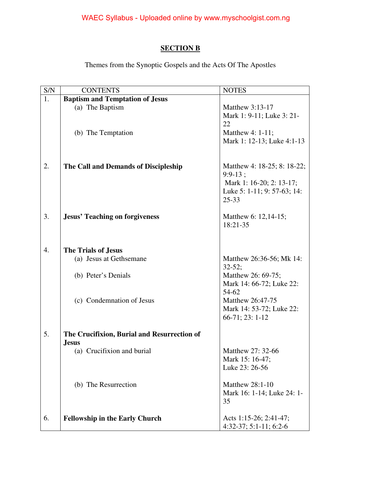## **SECTION B**

Themes from the Synoptic Gospels and the Acts Of The Apostles

| S/N              | <b>CONTENTS</b>                                             | <b>NOTES</b>                           |
|------------------|-------------------------------------------------------------|----------------------------------------|
| 1.               | <b>Baptism and Temptation of Jesus</b>                      |                                        |
|                  | (a) The Baptism                                             | Matthew 3:13-17                        |
|                  |                                                             | Mark 1: 9-11; Luke 3: 21-              |
|                  |                                                             | 22                                     |
|                  | (b) The Temptation                                          | Matthew 4: 1-11;                       |
|                  |                                                             | Mark 1: 12-13; Luke 4:1-13             |
|                  |                                                             |                                        |
| 2.               | The Call and Demands of Discipleship                        | Matthew 4: 18-25; 8: 18-22;            |
|                  |                                                             | $9:9-13;$                              |
|                  |                                                             | Mark 1: 16-20; 2: 13-17;               |
|                  |                                                             | Luke 5: 1-11; 9: 57-63; 14:            |
|                  |                                                             | $25 - 33$                              |
| 3.               | <b>Jesus' Teaching on forgiveness</b>                       | Matthew 6: 12,14-15;                   |
|                  |                                                             | 18:21-35                               |
|                  |                                                             |                                        |
|                  |                                                             |                                        |
| $\overline{4}$ . | <b>The Trials of Jesus</b>                                  |                                        |
|                  | (a) Jesus at Gethsemane                                     | Matthew 26:36-56; Mk 14:<br>$32 - 52;$ |
|                  | (b) Peter's Denials                                         | Matthew 26: 69-75;                     |
|                  |                                                             | Mark 14: 66-72; Luke 22:               |
|                  |                                                             | 54-62                                  |
|                  | (c) Condemnation of Jesus                                   | Matthew 26:47-75                       |
|                  |                                                             | Mark 14: 53-72; Luke 22:               |
|                  |                                                             | 66-71; 23: 1-12                        |
| 5.               |                                                             |                                        |
|                  | The Crucifixion, Burial and Resurrection of<br><b>Jesus</b> |                                        |
|                  | (a) Crucifixion and burial                                  | Matthew 27: 32-66                      |
|                  |                                                             | Mark 15: 16-47;                        |
|                  |                                                             | Luke 23: 26-56                         |
|                  |                                                             | <b>Matthew 28:1-10</b>                 |
|                  | (b) The Resurrection                                        | Mark 16: 1-14; Luke 24: 1-             |
|                  |                                                             | 35                                     |
|                  |                                                             |                                        |
| 6.               | <b>Fellowship in the Early Church</b>                       | Acts 1:15-26; 2:41-47;                 |
|                  |                                                             | $4:32-37; 5:1-11; 6:2-6$               |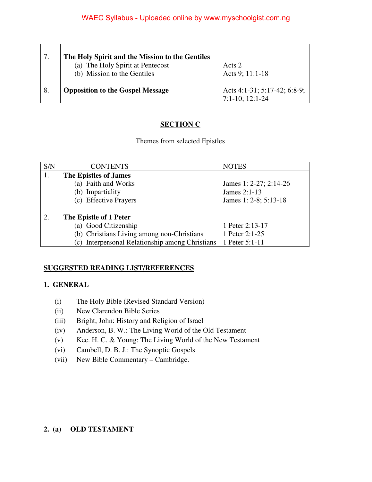|    | The Holy Spirit and the Mission to the Gentiles<br>(a) The Holy Spirit at Pentecost<br>(b) Mission to the Gentiles | Acts 2<br>Acts 9; 11:1-18                            |
|----|--------------------------------------------------------------------------------------------------------------------|------------------------------------------------------|
| 8. | <b>Opposition to the Gospel Message</b>                                                                            | Acts 4:1-31; 5:17-42; 6:8-9;<br>$7:1-10$ ; $12:1-24$ |

#### **SECTION C**

Themes from selected Epistles

| S/N        | <b>CONTENTS</b>                                 | <b>NOTES</b>           |
|------------|-------------------------------------------------|------------------------|
| $\vert 1.$ | The Epistles of James                           |                        |
|            | (a) Faith and Works                             | James 1: 2-27; 2:14-26 |
|            | (b) Impartiality                                | James 2:1-13           |
|            | (c) Effective Prayers                           | James 1: 2-8; 5:13-18  |
|            |                                                 |                        |
| 2.         | The Epistle of 1 Peter                          |                        |
|            | (a) Good Citizenship                            | 1 Peter 2:13-17        |
|            | (b) Christians Living among non-Christians      | 1 Peter 2:1-25         |
|            | (c) Interpersonal Relationship among Christians | 1 Peter 5:1-11         |

#### **SUGGESTED READING LIST/REFERENCES**

#### **1. GENERAL**

- (i) The Holy Bible (Revised Standard Version)
- (ii) New Clarendon Bible Series
- (iii) Bright, John: History and Religion of Israel
- (iv) Anderson, B. W.: The Living World of the Old Testament
- (v) Kee. H. C. & Young: The Living World of the New Testament
- (vi) Cambell, D. B. J.: The Synoptic Gospels
- (vii) New Bible Commentary Cambridge.

#### **2. (a) OLD TESTAMENT**